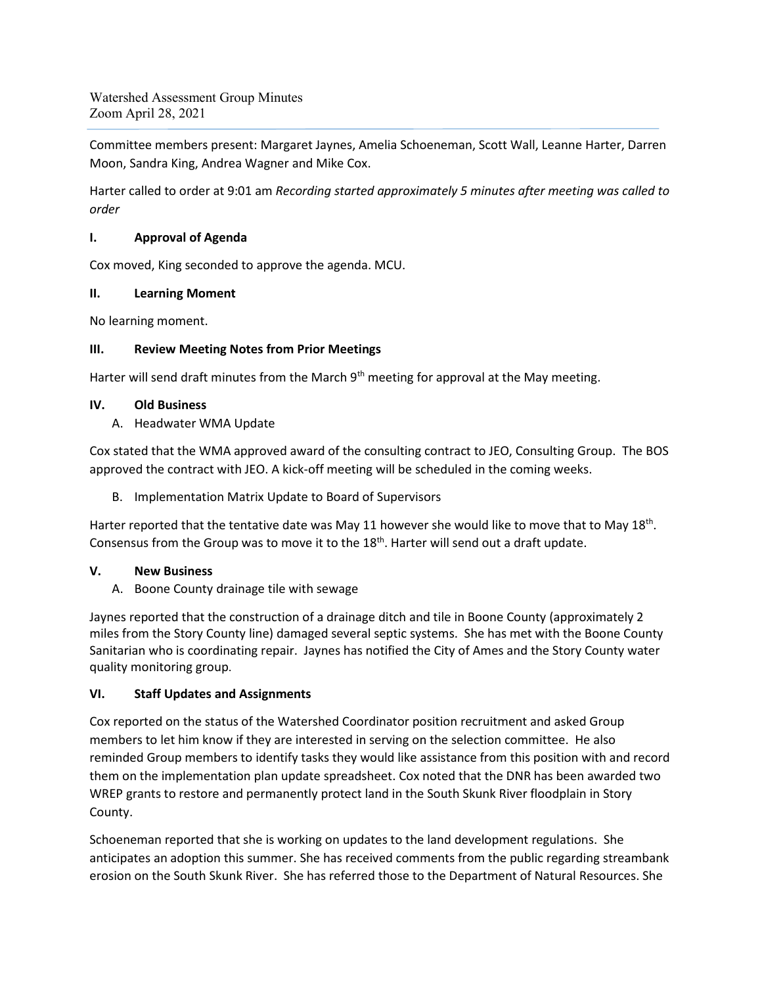Watershed Assessment Group Minutes Zoom April 28, 2021

Committee members present: Margaret Jaynes, Amelia Schoeneman, Scott Wall, Leanne Harter, Darren Moon, Sandra King, Andrea Wagner and Mike Cox.

Harter called to order at 9:01 am *Recording started approximately 5 minutes after meeting was called to order*

#### **I. Approval of Agenda**

Cox moved, King seconded to approve the agenda. MCU.

#### **II. Learning Moment**

No learning moment.

# **III. Review Meeting Notes from Prior Meetings**

Harter will send draft minutes from the March 9<sup>th</sup> meeting for approval at the May meeting.

### **IV. Old Business**

A. Headwater WMA Update

Cox stated that the WMA approved award of the consulting contract to JEO, Consulting Group. The BOS approved the contract with JEO. A kick-off meeting will be scheduled in the coming weeks.

B. Implementation Matrix Update to Board of Supervisors

Harter reported that the tentative date was May 11 however she would like to move that to May 18<sup>th</sup>. Consensus from the Group was to move it to the  $18<sup>th</sup>$ . Harter will send out a draft update.

# **V. New Business**

A. Boone County drainage tile with sewage

Jaynes reported that the construction of a drainage ditch and tile in Boone County (approximately 2 miles from the Story County line) damaged several septic systems. She has met with the Boone County Sanitarian who is coordinating repair. Jaynes has notified the City of Ames and the Story County water quality monitoring group.

# **VI. Staff Updates and Assignments**

Cox reported on the status of the Watershed Coordinator position recruitment and asked Group members to let him know if they are interested in serving on the selection committee. He also reminded Group members to identify tasks they would like assistance from this position with and record them on the implementation plan update spreadsheet. Cox noted that the DNR has been awarded two WREP grants to restore and permanently protect land in the South Skunk River floodplain in Story County.

Schoeneman reported that she is working on updates to the land development regulations. She anticipates an adoption this summer. She has received comments from the public regarding streambank erosion on the South Skunk River. She has referred those to the Department of Natural Resources. She